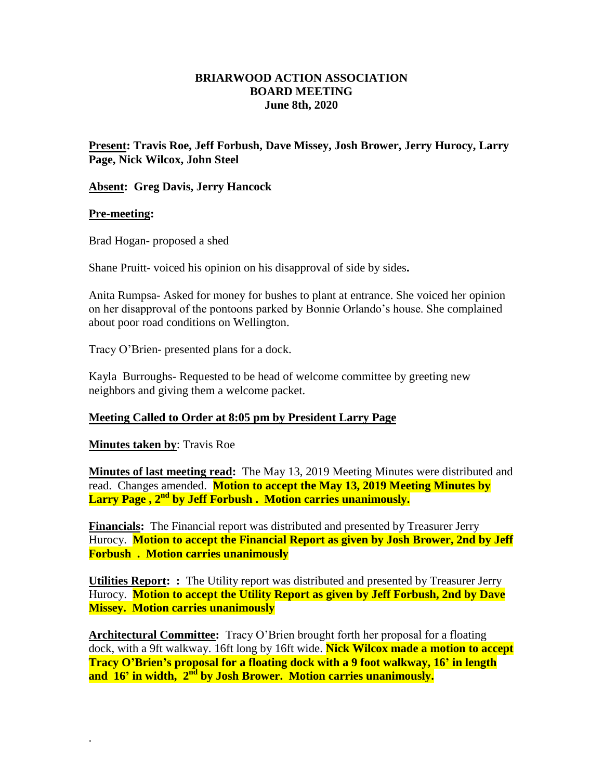# **BRIARWOOD ACTION ASSOCIATION BOARD MEETING June 8th, 2020**

**Present: Travis Roe, Jeff Forbush, Dave Missey, Josh Brower, Jerry Hurocy, Larry Page, Nick Wilcox, John Steel**

## **Absent: Greg Davis, Jerry Hancock**

### **Pre-meeting:**

Brad Hogan- proposed a shed

Shane Pruitt- voiced his opinion on his disapproval of side by sides**.** 

Anita Rumpsa- Asked for money for bushes to plant at entrance. She voiced her opinion on her disapproval of the pontoons parked by Bonnie Orlando's house. She complained about poor road conditions on Wellington.

Tracy O'Brien- presented plans for a dock.

Kayla Burroughs- Requested to be head of welcome committee by greeting new neighbors and giving them a welcome packet.

## **Meeting Called to Order at 8:05 pm by President Larry Page**

**Minutes taken by**: Travis Roe

.

**Minutes of last meeting read:** The May 13, 2019 Meeting Minutes were distributed and read. Changes amended. **Motion to accept the May 13, 2019 Meeting Minutes by Larry Page , 2nd by Jeff Forbush . Motion carries unanimously.**

**Financials:** The Financial report was distributed and presented by Treasurer Jerry Hurocy. **Motion to accept the Financial Report as given by Josh Brower, 2nd by Jeff Forbush . Motion carries unanimously** 

**Utilities Report: :** The Utility report was distributed and presented by Treasurer Jerry Hurocy. **Motion to accept the Utility Report as given by Jeff Forbush, 2nd by Dave Missey. Motion carries unanimously** 

**Architectural Committee:** Tracy O'Brien brought forth her proposal for a floating dock, with a 9ft walkway. 16ft long by 16ft wide. **Nick Wilcox made a motion to accept Tracy O'Brien's proposal for a floating dock with a 9 foot walkway, 16' in length and 16' in width, 2 nd by Josh Brower. Motion carries unanimously.**